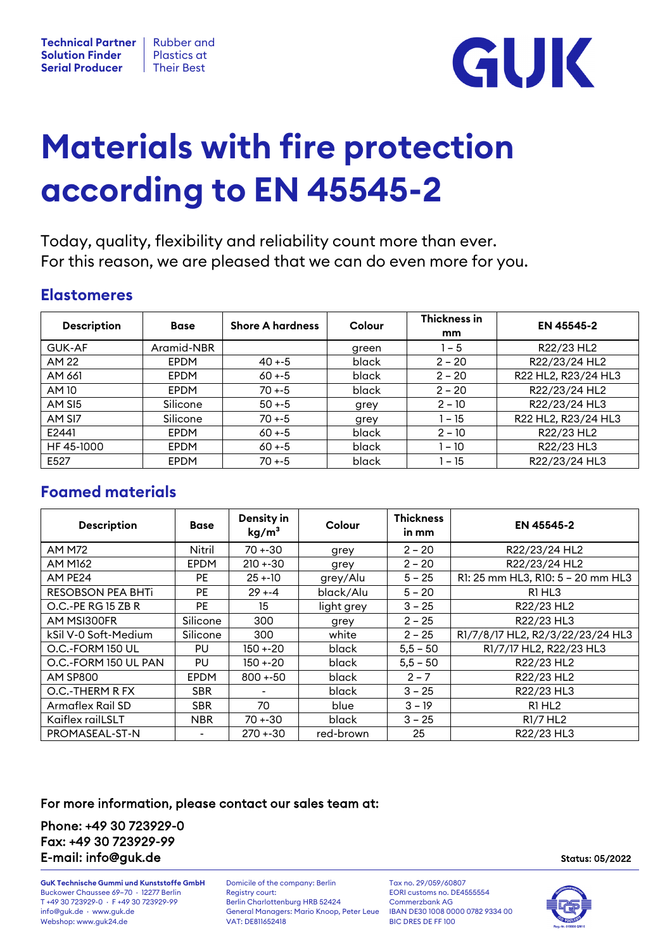

# **Materials with fire protection according to EN 45545-2**

Today, quality, flexibility and reliability count more than ever. For this reason, we are pleased that we can do even more for you.

### **Elastomeres**

| <b>Description</b> | <b>Base</b> | <b>Shore A hardness</b> | Colour | Thickness in<br>mm | EN 45545-2          |
|--------------------|-------------|-------------------------|--------|--------------------|---------------------|
| <b>GUK-AF</b>      | Aramid-NBR  |                         | green  | $1 - 5$            | R22/23 HL2          |
| AM 22              | <b>EPDM</b> | $40 + -5$               | black  | $2 - 20$           | R22/23/24 HL2       |
| AM 661             | <b>EPDM</b> | $60 + -5$               | black  | $2 - 20$           | R22 HL2, R23/24 HL3 |
| AM 10              | <b>EPDM</b> | $70 + -5$               | black  | $2 - 20$           | R22/23/24 HL2       |
| AM SI5             | Silicone    | $50 + -5$               | grey   | $2 - 10$           | R22/23/24 HL3       |
| AM SI7             | Silicone    | $70 + -5$               | grey   | 1 – 15             | R22 HL2, R23/24 HL3 |
| E2441              | <b>EPDM</b> | $60 + -5$               | black  | $2 - 10$           | R22/23 HL2          |
| HF 45-1000         | <b>EPDM</b> | $60 + -5$               | black  | 1 – 10             | R22/23 HL3          |
| E527               | <b>EPDM</b> | $70 + -5$               | black  | l – 15             | R22/23/24 HL3       |

# **Foamed materials**

| <b>Description</b>       | <b>Base</b>    | Density in<br>kg/m <sup>3</sup> | Colour     | <b>Thickness</b><br>in mm | EN 45545-2                        |
|--------------------------|----------------|---------------------------------|------------|---------------------------|-----------------------------------|
| <b>AM M72</b>            | Nitril         | $70 + 30$                       | grey       | $2 - 20$                  | R22/23/24 HL2                     |
| <b>AM M162</b>           | <b>EPDM</b>    | $210 + 30$                      | grey       | $2 - 20$                  | R22/23/24 HL2                     |
| AM PE24                  | PE.            | $25 + 10$                       | grey/Alu   | $5 - 25$                  | R1: 25 mm HL3, R10: 5 - 20 mm HL3 |
| <b>RESOBSON PEA BHTi</b> | PE             | $29 + -4$                       | black/Alu  | $5 - 20$                  | R1 HL3                            |
| O.C.-PE RG 15 ZB R       | PE.            | 15                              | light grey | $3 - 25$                  | R22/23 HL2                        |
| AM MSI300FR              | Silicone       | 300                             | grey       | $2 - 25$                  | R22/23 HL3                        |
| kSil V-0 Soft-Medium     | Silicone       | 300                             | white      | $2 - 25$                  | R1/7/8/17 HL2, R2/3/22/23/24 HL3  |
| O.C.-FORM 150 UL         | PU             | $150 + 20$                      | black      | $5,5 - 50$                | R1/7/17 HL2, R22/23 HL3           |
| O.C.-FORM 150 UL PAN     | PU             | $150 + 20$                      | black      | $5,5 - 50$                | R22/23 HL2                        |
| <b>AM SP800</b>          | <b>EPDM</b>    | $800 + 50$                      | black      | $2 - 7$                   | R22/23 HL2                        |
| O.C.-THERM R FX          | <b>SBR</b>     |                                 | black      | $3 - 25$                  | R22/23 HL3                        |
| <b>Armaflex Rail SD</b>  | <b>SBR</b>     | 70                              | blue       | $3 - 19$                  | R1 HL <sub>2</sub>                |
| Kaiflex railLSLT         | <b>NBR</b>     | 70 +-30                         | black      | $3 - 25$                  | R1/7 HL <sub>2</sub>              |
| PROMASEAL-ST-N           | $\blacksquare$ | $270 + 30$                      | red-brown  | 25                        | R22/23 HL3                        |

### For more information, please contact our sales team at:

Phone: +49 30 723929-0 Fax: +49 30 723929-99 E-mail: info@guk.de Status: 05/2022

**GuK Technische Gummi und Kunststoffe GmbH** Domicile of the company: Berlin Tax no. 29/059/60807<br>Buckower Chaussee 69-70 · 12277 Berlin Registry court: **EDRI** CURI Customs no. DE4555554 Buckower Chaussee 69–70 · 12277 Berlin Registry court: EORI customs no. D<br>T +49 30 723929-0 · F +49 30 723929-99 Berlin Charlottenburg HRB 52424 Commerzbank AG T +49 30 723929-0 · F +49 30 723929-99 Berlin Charlottenburg HRB 52424 Commerzbank AG Webshop: www.guk24.de

General Managers: Mario Knoop, Peter Leue IBAN DE30 1008 000<br>VAT: DE811652418 PIC DRES DE FF 100



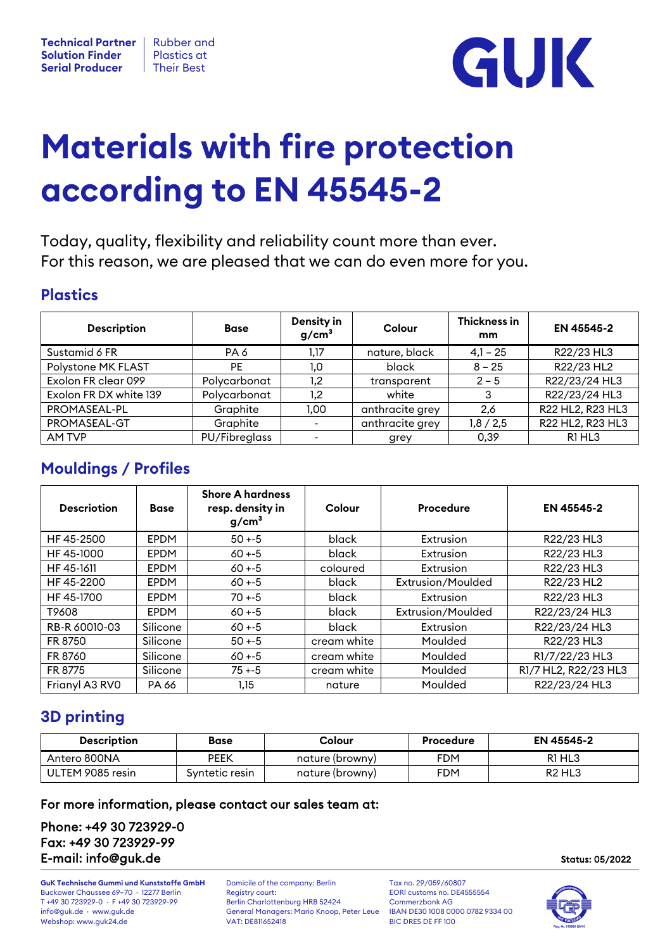

# **Materials with fire protection according to EN 45545-2**

Today, quality, flexibility and reliability count more than ever. For this reason, we are pleased that we can do even more for you.

## **Plastics**

| <b>Description</b>     | <b>Base</b>   | Density in<br>g/cm <sup>3</sup> | Colour          | Thickness in<br>mm | EN 45545-2       |
|------------------------|---------------|---------------------------------|-----------------|--------------------|------------------|
| Sustamid 6 FR          | PA 6          | 1,17                            | nature, black   | $4,1 - 25$         | R22/23 HL3       |
| Polystone MK FLAST     | PE.           | 1.0                             | black           | $8 - 25$           | R22/23 HL2       |
| Exolon FR clear 099    | Polycarbonat  | 1,2                             | transparent     | $2 - 5$            | R22/23/24 HL3    |
| Exolon FR DX white 139 | Polycarbonat  | 1,2                             | white           | 3                  | R22/23/24 HL3    |
| PROMASEAL-PL           | Graphite      | 1.00                            | anthracite grey | 2.6                | R22 HL2, R23 HL3 |
| PROMASEAL-GT           | Graphite      | $\qquad \qquad$                 | anthracite grey | 1,8/2,5            | R22 HL2, R23 HL3 |
| AM TVP                 | PU/Fibreglass | -                               | grey            | 0,39               | R1 HL3           |

# **Mouldings / Profiles**

| <b>Descriotion</b> | <b>Base</b> | <b>Shore A hardness</b><br>resp. density in<br>g/cm <sup>3</sup> | Colour      | Procedure         | EN 45545-2           |
|--------------------|-------------|------------------------------------------------------------------|-------------|-------------------|----------------------|
| HF 45-2500         | <b>EPDM</b> | $50 + -5$                                                        | black       | Extrusion         | R22/23 HL3           |
| HF 45-1000         | <b>EPDM</b> | $60 + -5$                                                        | black       | Extrusion         | R22/23 HL3           |
| HF 45-1611         | <b>EPDM</b> | $60 + -5$                                                        | coloured    | Extrusion         | R22/23 HL3           |
| HF 45-2200         | <b>EPDM</b> | $60 + -5$                                                        | black       | Extrusion/Moulded | R22/23 HL2           |
| HF 45-1700         | <b>EPDM</b> | $70 + -5$                                                        | black       | Extrusion         | R22/23 HL3           |
| T9608              | <b>EPDM</b> | $60 + -5$                                                        | black       | Extrusion/Moulded | R22/23/24 HL3        |
| RB-R 60010-03      | Silicone    | $60 + -5$                                                        | black       | Extrusion         | R22/23/24 HL3        |
| FR 8750            | Silicone    | $50 + -5$                                                        | cream white | Moulded           | R22/23 HL3           |
| FR 8760            | Silicone    | $60 + -5$                                                        | cream white | Moulded           | R1/7/22/23 HL3       |
| FR 8775            | Silicone    | $75 + -5$                                                        | cream white | Moulded           | R1/7 HL2, R22/23 HL3 |
| Frianyl A3 RV0     | PA 66       | 1,15                                                             | nature      | Moulded           | R22/23/24 HL3        |

# **3D printing**

| <b>Description</b> | Base           | Colour          | Procedure  | <b>EN 45545-2</b>              |
|--------------------|----------------|-----------------|------------|--------------------------------|
| Antero 800NA       | <b>PEEK</b>    | nature (browny) | FDM        | R <sub>1</sub> HL <sub>3</sub> |
| ULTEM 9085 resin   | Syntetic resin | nature (browny) | <b>FDM</b> | R <sub>2</sub> HL <sub>3</sub> |

### For more information, please contact our sales team at:

Phone: +49 30 723929-0 Fax: +49 30 723929-99 E-mail: info@guk.de Status: 05/2022

**GuK Technische Gummi und Kunststoffe GmbH** Domicile of the company: Berlin Tax no. 29/059/60807<br>Buckower Chaussee 69-70 · 12277 Berlin Registry court: **EDRI** CURI Customs no. DE4555554 Buckower Chaussee 69–70 · 12277 Berlin Registry court: EORI customs no. D<br>T +49 30 723929-0 · F +49 30 723929-99 Berlin Charlottenburg HRB 52424 Commerzbank AG T +49 30 723929-0 · F +49 30 723929-99 Berlin Charlottenburg HRB 52424 Commerzbank AG Webshop: www.guk24.de

General Managers: Mario Knoop, Peter Leue IBAN DE30 1008 000<br>VAT: DE811652418 BIC DRES DE FF 100